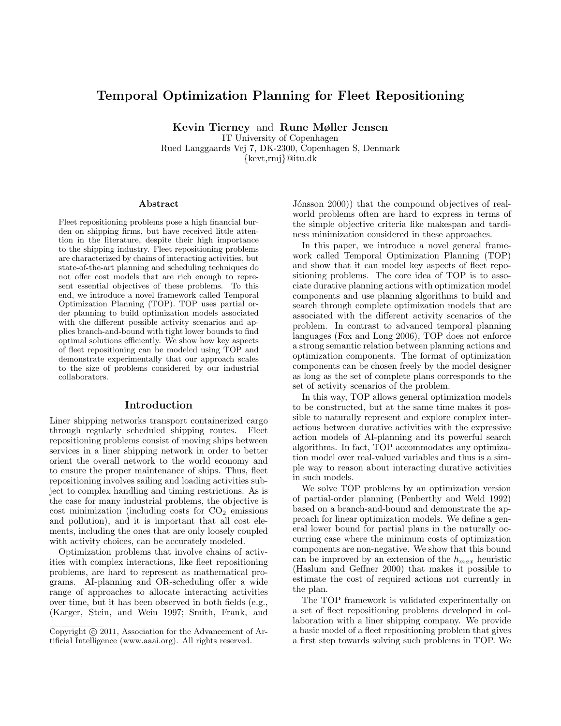# Temporal Optimization Planning for Fleet Repositioning

Kevin Tierney and Rune Møller Jensen IT University of Copenhagen

Rued Langgaards Vej 7, DK-2300, Copenhagen S, Denmark {kevt,rmj}@itu.dk

#### Abstract

Fleet repositioning problems pose a high financial burden on shipping firms, but have received little attention in the literature, despite their high importance to the shipping industry. Fleet repositioning problems are characterized by chains of interacting activities, but state-of-the-art planning and scheduling techniques do not offer cost models that are rich enough to represent essential objectives of these problems. To this end, we introduce a novel framework called Temporal Optimization Planning (TOP). TOP uses partial order planning to build optimization models associated with the different possible activity scenarios and applies branch-and-bound with tight lower bounds to find optimal solutions efficiently. We show how key aspects of fleet repositioning can be modeled using TOP and demonstrate experimentally that our approach scales to the size of problems considered by our industrial collaborators.

#### Introduction

Liner shipping networks transport containerized cargo through regularly scheduled shipping routes. Fleet repositioning problems consist of moving ships between services in a liner shipping network in order to better orient the overall network to the world economy and to ensure the proper maintenance of ships. Thus, fleet repositioning involves sailing and loading activities subject to complex handling and timing restrictions. As is the case for many industrial problems, the objective is cost minimization (including costs for  $CO<sub>2</sub>$  emissions and pollution), and it is important that all cost elements, including the ones that are only loosely coupled with activity choices, can be accurately modeled.

Optimization problems that involve chains of activities with complex interactions, like fleet repositioning problems, are hard to represent as mathematical programs. AI-planning and OR-scheduling offer a wide range of approaches to allocate interacting activities over time, but it has been observed in both fields (e.g., (Karger, Stein, and Wein 1997; Smith, Frank, and

Jónsson 2000)) that the compound objectives of realworld problems often are hard to express in terms of the simple objective criteria like makespan and tardiness minimization considered in these approaches.

In this paper, we introduce a novel general framework called Temporal Optimization Planning (TOP) and show that it can model key aspects of fleet repositioning problems. The core idea of TOP is to associate durative planning actions with optimization model components and use planning algorithms to build and search through complete optimization models that are associated with the different activity scenarios of the problem. In contrast to advanced temporal planning languages (Fox and Long 2006), TOP does not enforce a strong semantic relation between planning actions and optimization components. The format of optimization components can be chosen freely by the model designer as long as the set of complete plans corresponds to the set of activity scenarios of the problem.

In this way, TOP allows general optimization models to be constructed, but at the same time makes it possible to naturally represent and explore complex interactions between durative activities with the expressive action models of AI-planning and its powerful search algorithms. In fact, TOP accommodates any optimization model over real-valued variables and thus is a simple way to reason about interacting durative activities in such models.

We solve TOP problems by an optimization version of partial-order planning (Penberthy and Weld 1992) based on a branch-and-bound and demonstrate the approach for linear optimization models. We define a general lower bound for partial plans in the naturally occurring case where the minimum costs of optimization components are non-negative. We show that this bound can be improved by an extension of the  $h_{max}$  heuristic (Haslum and Geffner 2000) that makes it possible to estimate the cost of required actions not currently in the plan.

The TOP framework is validated experimentally on a set of fleet repositioning problems developed in collaboration with a liner shipping company. We provide a basic model of a fleet repositioning problem that gives a first step towards solving such problems in TOP. We

Copyright (c) 2011, Association for the Advancement of Artificial Intelligence (www.aaai.org). All rights reserved.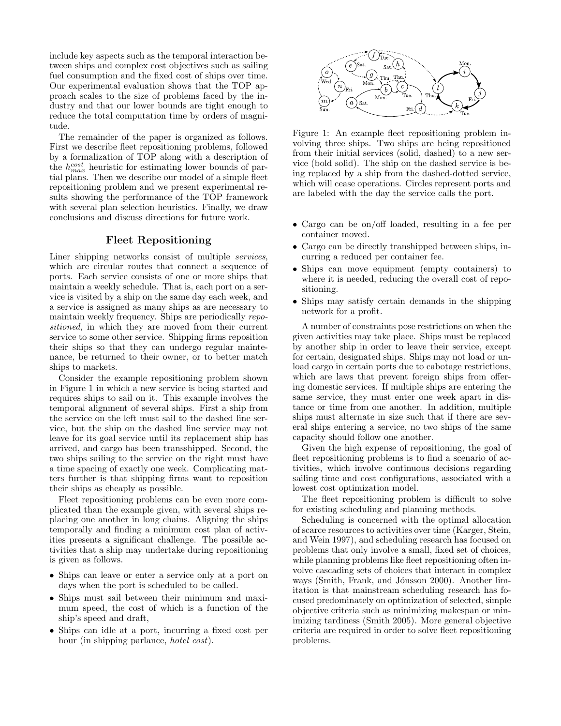include key aspects such as the temporal interaction between ships and complex cost objectives such as sailing fuel consumption and the fixed cost of ships over time. Our experimental evaluation shows that the TOP approach scales to the size of problems faced by the industry and that our lower bounds are tight enough to reduce the total computation time by orders of magnitude.

The remainder of the paper is organized as follows. First we describe fleet repositioning problems, followed by a formalization of TOP along with a description of the  $h_{max}^{cost}$  heuristic for estimating lower bounds of partial plans. Then we describe our model of a simple fleet repositioning problem and we present experimental results showing the performance of the TOP framework with several plan selection heuristics. Finally, we draw conclusions and discuss directions for future work.

## Fleet Repositioning

Liner shipping networks consist of multiple services, which are circular routes that connect a sequence of ports. Each service consists of one or more ships that maintain a weekly schedule. That is, each port on a service is visited by a ship on the same day each week, and a service is assigned as many ships as are necessary to maintain weekly frequency. Ships are periodically repositioned, in which they are moved from their current service to some other service. Shipping firms reposition their ships so that they can undergo regular maintenance, be returned to their owner, or to better match ships to markets.

Consider the example repositioning problem shown in Figure 1 in which a new service is being started and requires ships to sail on it. This example involves the temporal alignment of several ships. First a ship from the service on the left must sail to the dashed line service, but the ship on the dashed line service may not leave for its goal service until its replacement ship has arrived, and cargo has been transshipped. Second, the two ships sailing to the service on the right must have a time spacing of exactly one week. Complicating matters further is that shipping firms want to reposition their ships as cheaply as possible.

Fleet repositioning problems can be even more complicated than the example given, with several ships replacing one another in long chains. Aligning the ships temporally and finding a minimum cost plan of activities presents a significant challenge. The possible activities that a ship may undertake during repositioning is given as follows.

- Ships can leave or enter a service only at a port on days when the port is scheduled to be called.
- Ships must sail between their minimum and maximum speed, the cost of which is a function of the ship's speed and draft,
- Ships can idle at a port, incurring a fixed cost per hour (in shipping parlance, *hotel cost*).



Figure 1: An example fleet repositioning problem involving three ships. Two ships are being repositioned from their initial services (solid, dashed) to a new service (bold solid). The ship on the dashed service is being replaced by a ship from the dashed-dotted service, which will cease operations. Circles represent ports and are labeled with the day the service calls the port.

- Cargo can be on/off loaded, resulting in a fee per container moved.
- Cargo can be directly transhipped between ships, incurring a reduced per container fee.
- Ships can move equipment (empty containers) to where it is needed, reducing the overall cost of repositioning.
- Ships may satisfy certain demands in the shipping network for a profit.

A number of constraints pose restrictions on when the given activities may take place. Ships must be replaced by another ship in order to leave their service, except for certain, designated ships. Ships may not load or unload cargo in certain ports due to cabotage restrictions, which are laws that prevent foreign ships from offering domestic services. If multiple ships are entering the same service, they must enter one week apart in distance or time from one another. In addition, multiple ships must alternate in size such that if there are several ships entering a service, no two ships of the same capacity should follow one another.

Given the high expense of repositioning, the goal of fleet repositioning problems is to find a scenario of activities, which involve continuous decisions regarding sailing time and cost configurations, associated with a lowest cost optimization model.

The fleet repositioning problem is difficult to solve for existing scheduling and planning methods.

Scheduling is concerned with the optimal allocation of scarce resources to activities over time (Karger, Stein, and Wein 1997), and scheduling research has focused on problems that only involve a small, fixed set of choices, while planning problems like fleet repositioning often involve cascading sets of choices that interact in complex ways (Smith, Frank, and Jónsson 2000). Another limitation is that mainstream scheduling research has focused predominately on optimization of selected, simple objective criteria such as minimizing makespan or minimizing tardiness (Smith 2005). More general objective criteria are required in order to solve fleet repositioning problems.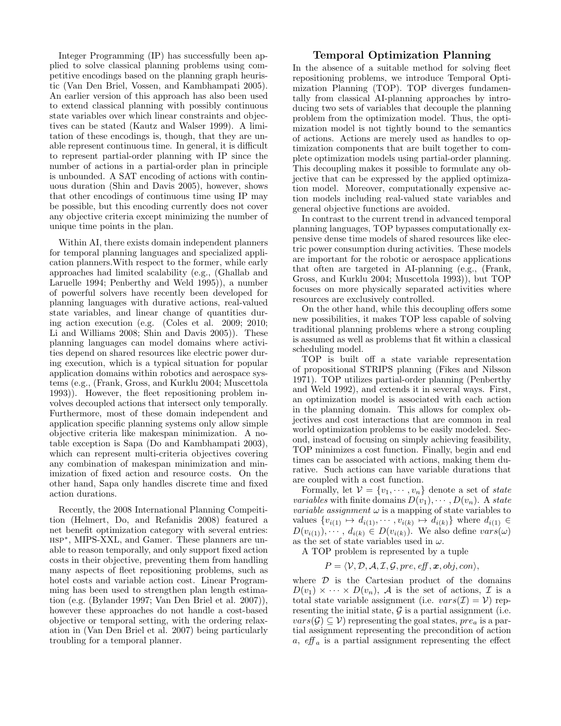Integer Programming (IP) has successfully been applied to solve classical planning problems using competitive encodings based on the planning graph heuristic (Van Den Briel, Vossen, and Kambhampati 2005). An earlier version of this approach has also been used to extend classical planning with possibly continuous state variables over which linear constraints and objectives can be stated (Kautz and Walser 1999). A limitation of these encodings is, though, that they are unable represent continuous time. In general, it is difficult to represent partial-order planning with IP since the number of actions in a partial-order plan in principle is unbounded. A SAT encoding of actions with continuous duration (Shin and Davis 2005), however, shows that other encodings of continuous time using IP may be possible, but this encoding currently does not cover any objective criteria except minimizing the number of unique time points in the plan.

Within AI, there exists domain independent planners for temporal planning languages and specialized application planners.With respect to the former, while early approaches had limited scalability (e.g., (Ghallab and Laruelle 1994; Penberthy and Weld 1995)), a number of powerful solvers have recently been developed for planning languages with durative actions, real-valued state variables, and linear change of quantities during action execution (e.g. (Coles et al. 2009; 2010; Li and Williams 2008; Shin and Davis 2005)). These planning languages can model domains where activities depend on shared resources like electric power during execution, which is a typical situation for popular application domains within robotics and aerospace systems (e.g., (Frank, Gross, and Kurklu 2004; Muscettola 1993)). However, the fleet repositioning problem involves decoupled actions that intersect only temporally. Furthermore, most of these domain independent and application specific planning systems only allow simple objective criteria like makespan minimization. A notable exception is Sapa (Do and Kambhampati 2003), which can represent multi-criteria objectives covering any combination of makespan minimization and minimization of fixed action and resource costs. On the other hand, Sapa only handles discrete time and fixed action durations.

Recently, the 2008 International Planning Compeitition (Helmert, Do, and Refanidis 2008) featured a net benefit optimization category with several entries: hsp<sup>∗</sup> , MIPS-XXL, and Gamer. These planners are unable to reason temporally, and only support fixed action costs in their objective, preventing them from handling many aspects of fleet repositioning problems, such as hotel costs and variable action cost. Linear Programming has been used to strengthen plan length estimation (e.g. (Bylander 1997; Van Den Briel et al. 2007)), however these approaches do not handle a cost-based objective or temporal setting, with the ordering relaxation in (Van Den Briel et al. 2007) being particularly troubling for a temporal planner.

## Temporal Optimization Planning

In the absence of a suitable method for solving fleet repositioning problems, we introduce Temporal Optimization Planning (TOP). TOP diverges fundamentally from classical AI-planning approaches by introducing two sets of variables that decouple the planning problem from the optimization model. Thus, the optimization model is not tightly bound to the semantics of actions. Actions are merely used as handles to optimization components that are built together to complete optimization models using partial-order planning. This decoupling makes it possible to formulate any objective that can be expressed by the applied optimization model. Moreover, computationally expensive action models including real-valued state variables and general objective functions are avoided.

In contrast to the current trend in advanced temporal planning languages, TOP bypasses computationally expensive dense time models of shared resources like electric power consumption during activities. These models are important for the robotic or aerospace applications that often are targeted in AI-planning (e.g., (Frank, Gross, and Kurklu 2004; Muscettola 1993)), but TOP focuses on more physically separated activities where resources are exclusively controlled.

On the other hand, while this decoupling offers some new possibilities, it makes TOP less capable of solving traditional planning problems where a strong coupling is assumed as well as problems that fit within a classical scheduling model.

TOP is built off a state variable representation of propositional STRIPS planning (Fikes and Nilsson 1971). TOP utilizes partial-order planning (Penberthy and Weld 1992), and extends it in several ways. First, an optimization model is associated with each action in the planning domain. This allows for complex objectives and cost interactions that are common in real world optimization problems to be easily modeled. Second, instead of focusing on simply achieving feasibility, TOP minimizes a cost function. Finally, begin and end times can be associated with actions, making them durative. Such actions can have variable durations that are coupled with a cost function.

Formally, let  $V = \{v_1, \dots, v_n\}$  denote a set of state *variables* with finite domains  $D(v_1), \cdots, D(v_n)$ . A state *variable assignment*  $\omega$  is a mapping of state variables to values  $\{v_{i(1)} \mapsto d_{i(1)}, \cdots, v_{i(k)} \mapsto d_{i(k)}\}\$  where  $d_{i(1)} \in$  $D(v_{i(1)}), \dots, d_{i(k)} \in D(v_{i(k)})$ . We also define  $vars(\omega)$ as the set of state variables used in  $\omega$ .

A TOP problem is represented by a tuple

 $P = \langle V, D, A, I, G, pre, eff, x, obj, con \rangle,$ 

where  $D$  is the Cartesian product of the domains  $D(v_1) \times \cdots \times D(v_n)$ , A is the set of actions, I is a total state variable assignment (i.e.  $vars(\mathcal{I}) = \mathcal{V}$ ) representing the initial state,  $\mathcal G$  is a partial assignment (i.e.  $vars(\mathcal{G}) \subseteq \mathcal{V}$  representing the goal states,  $pre_a$  is a partial assignment representing the precondition of action a,  $\epsilon$ ff<sub>a</sub> is a partial assignment representing the effect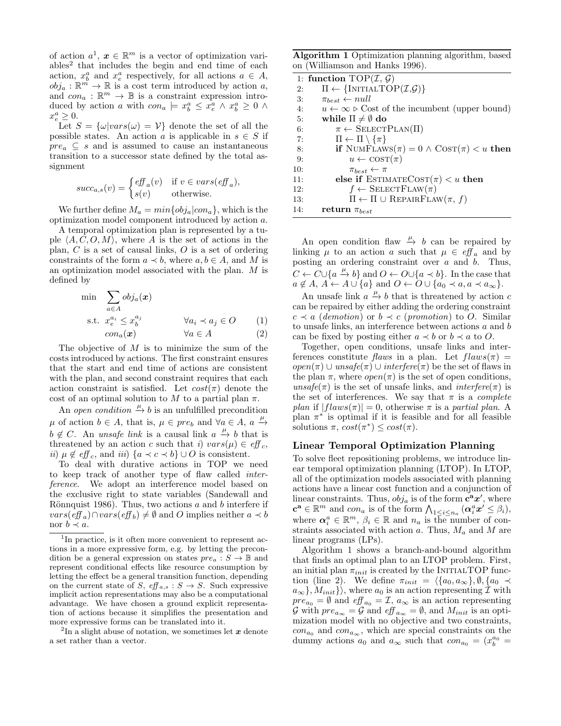of action  $a^1, x \in \mathbb{R}^m$  is a vector of optimization variables<sup>2</sup> that includes the begin and end time of each action,  $x_b^a$  and  $x_e^a$  respectively, for all actions  $a \in A$ ,  $\phi$ ,  $b_{j_a}: \mathbb{R}^m \to \mathbb{R}$  is a cost term introduced by action a, and  $con_a: \mathbb{R}^m \to \mathbb{B}$  is a constraint expression introduced by action a with  $con_a \models x_b^a \leq x_e^a \land x_b^a \geq 0 \land$  $x_e^a \geq 0.$ 

Let  $S = {\omega | vars(\omega) = V}$  denote the set of all the possible states. An action  $a$  is applicable in  $s \in S$  if  $pre_a \subseteq s$  and is assumed to cause an instantaneous transition to a successor state defined by the total assignment

$$
succ_{a,s}(v) = \begin{cases} \operatorname{eff}_a(v) & \text{if } v \in vars(\operatorname{eff}_a), \\ s(v) & \text{otherwise.} \end{cases}
$$

We further define  $M_a = min\{obj_a|con_a\}$ , which is the optimization model component introduced by action a.

A temporal optimization plan is represented by a tuple  $\langle A, C, O, M \rangle$ , where A is the set of actions in the plan,  $C$  is a set of causal links,  $O$  is a set of ordering constraints of the form  $a \prec b$ , where  $a, b \in A$ , and M is an optimization model associated with the plan. M is defined by

$$
\min \sum_{a \in A} obj_a(x)
$$
\n
$$
\text{s.t. } x_e^{a_i} \le x_b^{a_j} \qquad \forall a_i \prec a_j \in O \qquad (1)
$$
\n
$$
con_a(x) \qquad \forall a \in A \qquad (2)
$$

The objective of  $M$  is to minimize the sum of the costs introduced by actions. The first constraint ensures that the start and end time of actions are consistent with the plan, and second constraint requires that each action constraint is satisfied. Let  $cost(\pi)$  denote the cost of an optimal solution to M to a partial plan  $\pi$ .

An open condition  $\stackrel{\mu}{\to} b$  is an unfulfilled precondition  $\mu$  of action  $b \in A$ , that is,  $\mu \in pre_b$  and  $\forall a \in A$ ,  $a \xrightarrow{\mu}$  $b \notin C$ . An unsafe link is a causal link  $a \stackrel{\mu}{\to} b$  that is threatened by an action c such that i)  $vars(\mu) \in eff_c$ , ii)  $\mu \notin \text{eff}_c$ , and iii)  $\{a \prec c \prec b\} \cup O$  is consistent.

To deal with durative actions in TOP we need to keep track of another type of flaw called interference. We adopt an interference model based on the exclusive right to state variables (Sandewall and Rönnquist 1986). Thus, two actions  $a$  and  $b$  interfere if  $vars(eff_a) \cap vars(eff_b) \neq \emptyset$  and O implies neither  $a \prec b$ nor  $b \prec a$ .

<sup>2</sup>In a slight abuse of notation, we sometimes let  $x$  denote a set rather than a vector.

Algorithm 1 Optimization planning algorithm, based on (Williamson and Hanks 1996).

|     | 1: function $TOP(\mathcal{I}, \mathcal{G})$                                |
|-----|----------------------------------------------------------------------------|
| 2:  | $\Pi \leftarrow \{\text{INITIALTOP}(\mathcal{I}, \mathcal{G})\}$           |
| 3:  | $\pi_{best} \leftarrow null$                                               |
| 4:  | $u \leftarrow \infty$ $\triangleright$ Cost of the incumbent (upper bound) |
| 5:  | while $\Pi \neq \emptyset$ do                                              |
| 6:  | $\pi \leftarrow$ SELECTPLAN( $\Pi$ )                                       |
| 7:  | $\Pi \leftarrow \Pi \setminus \{\pi\}$                                     |
| 8:  | if NUMFLAWS $(\pi) = 0 \wedge \text{COST}(\pi) < u$ then                   |
| 9:  | $u \leftarrow \text{COST}(\pi)$                                            |
| 10: | $\pi_{best} \leftarrow \pi$                                                |
| 11: | else if ESTIMATECOST $(\pi)$ < u then                                      |
| 12: | $f \leftarrow$ SELECTFLAW( $\pi$ )                                         |
| 13: | $\Pi \leftarrow \Pi \cup \text{REPARFLAW}(\pi, f)$                         |
| 14: | return $\pi_{best}$                                                        |

An open condition flaw  $\stackrel{\mu}{\rightarrow} b$  can be repaired by linking  $\mu$  to an action a such that  $\mu \in eff_a$  and by posting an ordering constraint over  $a$  and  $b$ . Thus,  $C \leftarrow C \cup \{a \stackrel{\mu}{\rightarrow} b\}$  and  $O \leftarrow O \cup \{a \prec b\}$ . In the case that  $a \notin A, A \leftarrow A \cup \{a\}$  and  $O \leftarrow O \cup \{a_0 \prec a, a \prec a_\infty\}.$ 

An unsafe link  $a \xrightarrow{\mu} b$  that is threatened by action c can be repaired by either adding the ordering constraint  $c \prec a$  (demotion) or  $b \prec c$  (promotion) to O. Similar to unsafe links, an interference between actions a and b can be fixed by posting either  $a \prec b$  or  $b \prec a$  to O.

Together, open conditions, unsafe links and interferences constitute flaws in a plan. Let  $flaws(\pi) =$  $open(\pi) \cup unsafe(\pi) \cup interface(\pi)$  be the set of flaws in the plan  $\pi$ , where  $open(\pi)$  is the set of open conditions, unsafe( $\pi$ ) is the set of unsafe links, and interfere( $\pi$ ) is the set of interferences. We say that  $\pi$  is a *complete* plan if  $|flaws(\pi)| = 0$ , otherwise  $\pi$  is a partial plan. A plan  $\pi^*$  is optimal if it is feasible and for all feasible solutions  $\pi$ ,  $cost(\pi^*) \leq cost(\pi)$ .

#### Linear Temporal Optimization Planning

To solve fleet repositioning problems, we introduce linear temporal optimization planning (LTOP). In LTOP, all of the optimization models associated with planning actions have a linear cost function and a conjunction of linear constraints. Thus,  $obj_a$  is of the form  $c^a x'$ , where  $\mathbf{c}^{\mathbf{a}} \in \mathbb{R}^{m}$  and  $con_{a}$  is of the form  $\bigwedge_{1 \leq i \leq n_{a}} (\mathbf{\alpha}_{i}^{a} \mathbf{x}^{i} \leq \beta_{i}),$ where  $\boldsymbol{\alpha}_i^a \in \mathbb{R}^m$ ,  $\beta_i \in \mathbb{R}$  and  $n_a$  is the number of constraints associated with action a. Thus,  $M_a$  and M are linear programs (LPs).

Algorithm 1 shows a branch-and-bound algorithm that finds an optimal plan to an LTOP problem. First, an initial plan  $\pi_{init}$  is created by the INITIALTOP function (line 2). We define  $\pi_{init} = \langle \{a_0, a_\infty\}, \emptyset, \{a_0 \prec$  $a_{\infty}$ ,  $M_{init}$ , where  $a_0$  is an action representing  $\mathcal I$  with  $pre_{a_0} = \emptyset$  and  $eff_{a_0} = \mathcal{I}, a_{\infty}$  is an action representing  $\mathcal G$  with  $pre_{a_{\infty}} = \mathcal G$  and  $\mathcal{e}f\mathcal{f}_{a_{\infty}} = \emptyset$ , and  $M_{init}$  is an optimization model with no objective and two constraints,  $con_{a_0}$  and  $con_{a_{\infty}}$ , which are special constraints on the dummy actions  $a_0$  and  $a_{\infty}$  such that  $con_{a_0} = (x_b^{a_0} =$ 

<sup>&</sup>lt;sup>1</sup>In practice, is it often more convenient to represent actions in a more expressive form, e.g. by letting the precondition be a general expression on states  $pre_a : S \to \mathbb{B}$  and represent conditional effects like resource consumption by letting the effect be a general transition function, depending on the current state of S,  $\text{eff}_{a,s}: S \to S$ . Such expressive implicit action representations may also be a computational advantage. We have chosen a ground explicit representation of actions because it simplifies the presentation and more expressive forms can be translated into it.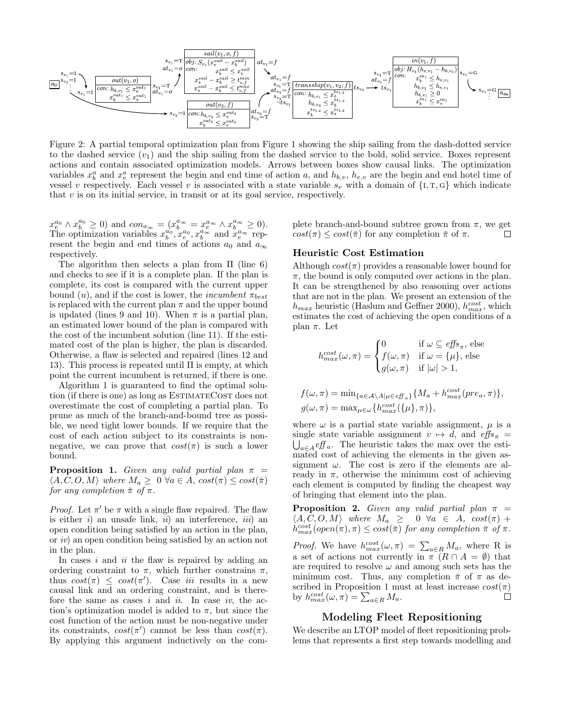

Figure 2: A partial temporal optimization plan from Figure 1 showing the ship sailing from the dash-dotted service to the dashed service  $(v_1)$  and the ship sailing from the dashed service to the bold, solid service. Boxes represent actions and contain associated optimization models. Arrows between boxes show causal links. The optimization variables  $x_b^a$  and  $x_e^a$  represent the begin and end time of action a, and  $h_{b,v}$ ,  $h_{e,v}$  are the begin and end hotel time of vessel v respectively. Each vessel v is associated with a state variable  $s_v$  with a domain of  $\{I, T, G\}$  which indicate that  $v$  is on its initial service, in transit or at its goal service, respectively.

 $x_e^{a_0} \wedge x_b^{a_0} \geq 0$  and  $con_{a_{\infty}} = (x_b^{a_{\infty}} = x_e^{a_{\infty}} \wedge x_b^{a_{\infty}} \geq 0)$ . The optimization variables  $x_b^{a_0}, x_e^{a_0}, x_b^{a_\infty}$  and  $x_e^{a_\infty}$  represent the begin and end times of actions  $a_0$  and  $a_{\infty}$ respectively.

The algorithm then selects a plan from Π (line 6) and checks to see if it is a complete plan. If the plan is complete, its cost is compared with the current upper bound (u), and if the cost is lower, the *incumbent*  $\pi_{best}$ is replaced with the current plan  $\pi$  and the upper bound is updated (lines 9 and 10). When  $\pi$  is a partial plan, an estimated lower bound of the plan is compared with the cost of the incumbent solution (line 11). If the estimated cost of the plan is higher, the plan is discarded. Otherwise, a flaw is selected and repaired (lines 12 and 13). This process is repeated until  $\Pi$  is empty, at which point the current incumbent is returned, if there is one.

Algorithm 1 is guaranteed to find the optimal solution (if there is one) as long as ESTIMATECOST does not overestimate the cost of completing a partial plan. To prune as much of the branch-and-bound tree as possible, we need tight lower bounds. If we require that the cost of each action subject to its constraints is nonnegative, we can prove that  $cost(\pi)$  is such a lower bound.

**Proposition 1.** Given any valid partial plan  $\pi$  =  $\langle A, C, O, M \rangle$  where  $M_a \geq 0 \ \forall a \in A$ ,  $cost(\pi) \leq cost(\bar{\pi})$ for any completion  $\bar{\pi}$  of  $\pi$ .

*Proof.* Let  $\pi'$  be  $\pi$  with a single flaw repaired. The flaw is either  $i$ ) an unsafe link,  $ii$ ) an interference,  $iii$ ) an open condition being satisfied by an action in the plan, or iv) an open condition being satisfied by an action not in the plan.

In cases  $i$  and  $ii$  the flaw is repaired by adding an ordering constraint to  $\pi$ , which further constrains  $\pi$ , thus  $cost(\pi) \leq cost(\pi')$ . Case *iii* results in a new causal link and an ordering constraint, and is therefore the same as cases  $i$  and  $ii$ . In case  $iv$ , the action's optimization model is added to  $\pi$ , but since the cost function of the action must be non-negative under its constraints,  $cost(\pi')$  cannot be less than  $cost(\pi)$ . By applying this argument inductively on the complete branch-and-bound subtree grown from  $\pi$ , we get  $cost(\pi) \leq cost(\bar{\pi})$  for any completion  $\bar{\pi}$  of  $\pi$ .  $\Box$ 

#### Heuristic Cost Estimation

Although  $cost(\pi)$  provides a reasonable lower bound for  $\pi$ , the bound is only computed over actions in the plan. It can be strengthened by also reasoning over actions that are not in the plan. We present an extension of the  $h_{max}$  heuristic (Haslum and Geffner 2000),  $h_{max}^{cost}$ , which estimates the cost of achieving the open conditions of a plan π. Let

$$
h_{max}^{cost}(\omega, \pi) = \begin{cases} 0 & \text{if } \omega \subseteq \text{effs}_{\pi}, \text{ else} \\ f(\omega, \pi) & \text{if } \omega = {\mu}, \text{ else} \\ g(\omega, \pi) & \text{if } |\omega| > 1, \end{cases}
$$

$$
f(\omega, \pi) = \min_{\{a \in A \setminus A | \mu \in \text{eff}_a\}} \{M_a + h_{max}^{cost}(pre_a, \pi)\},
$$
  

$$
g(\omega, \pi) = \max_{\mu \in \omega} \{h_{max}^{cost}(\{\mu\}, \pi)\},
$$

where  $\omega$  is a partial state variable assignment,  $\mu$  is a single state variable assignment  $v \mapsto d$ , and  $\text{effs}_{\pi} =$  $\bigcup_{a \in A} eff_a$ . The heuristic takes the max over the estimated cost of achieving the elements in the given assignment  $\omega$ . The cost is zero if the elements are already in  $\pi$ , otherwise the minimum cost of achieving each element is computed by finding the cheapest way of bringing that element into the plan.

**Proposition 2.** Given any valid partial plan  $\pi$  =  $\langle A, C, O, M \rangle$  where  $M_a \geq 0 \ \forall a \in A$ ,  $cost(\pi)$  +  $h_{max}^{cost}(open(\pi), \pi) \le cost(\bar{\pi})$  for any completion  $\bar{\pi}$  of  $\pi$ .

*Proof.* We have  $h_{max}^{cost}(\omega, \pi) = \sum_{a \in R} M_a$ , where R is a set of actions not currently in  $\pi$  ( $R \cap A = \emptyset$ ) that are required to resolve  $\omega$  and among such sets has the minimum cost. Thus, any completion  $\bar{\pi}$  of  $\pi$  as described in Proposition 1 must at least increase  $cost(\pi)$ by  $h_{max}^{cost}(\omega, \pi) = \sum_{a \in R} M_a$ .  $\Box$ 

### Modeling Fleet Repositioning

We describe an LTOP model of fleet repositioning problems that represents a first step towards modelling and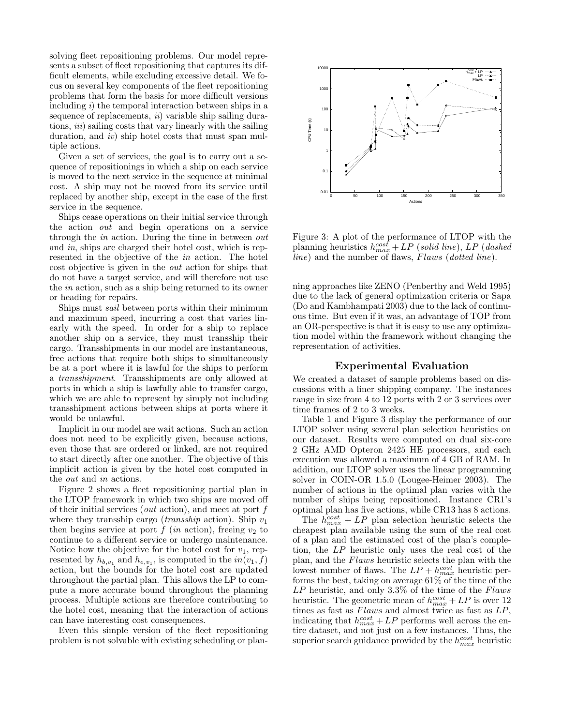solving fleet repositioning problems. Our model represents a subset of fleet repositioning that captures its difficult elements, while excluding excessive detail. We focus on several key components of the fleet repositioning problems that form the basis for more difficult versions including  $i$ ) the temporal interaction between ships in a sequence of replacements,  $ii)$  variable ship sailing durations, *iii*) sailing costs that vary linearly with the sailing duration, and *iv*) ship hotel costs that must span multiple actions.

Given a set of services, the goal is to carry out a sequence of repositionings in which a ship on each service is moved to the next service in the sequence at minimal cost. A ship may not be moved from its service until replaced by another ship, except in the case of the first service in the sequence.

Ships cease operations on their initial service through the action out and begin operations on a service through the in action. During the time in between out and in, ships are charged their hotel cost, which is represented in the objective of the in action. The hotel cost objective is given in the out action for ships that do not have a target service, and will therefore not use the in action, such as a ship being returned to its owner or heading for repairs.

Ships must sail between ports within their minimum and maximum speed, incurring a cost that varies linearly with the speed. In order for a ship to replace another ship on a service, they must transship their cargo. Transshipments in our model are instantaneous, free actions that require both ships to simultaneously be at a port where it is lawful for the ships to perform a transshipment. Transshipments are only allowed at ports in which a ship is lawfully able to transfer cargo, which we are able to represent by simply not including transshipment actions between ships at ports where it would be unlawful.

Implicit in our model are wait actions. Such an action does not need to be explicitly given, because actions, even those that are ordered or linked, are not required to start directly after one another. The objective of this implicit action is given by the hotel cost computed in the out and in actions.

Figure 2 shows a fleet repositioning partial plan in the LTOP framework in which two ships are moved off of their initial services (*out* action), and meet at port  $f$ where they transship cargo (*transship* action). Ship  $v_1$ then begins service at port  $f$  (in action), freeing  $v_2$  to continue to a different service or undergo maintenance. Notice how the objective for the hotel cost for  $v_1$ , represented by  $h_{b,v_1}$  and  $h_{e,v_1}$ , is computed in the  $in(v_1, f)$ action, but the bounds for the hotel cost are updated throughout the partial plan. This allows the LP to compute a more accurate bound throughout the planning process. Multiple actions are therefore contributing to the hotel cost, meaning that the interaction of actions can have interesting cost consequences.

Even this simple version of the fleet repositioning problem is not solvable with existing scheduling or plan-



Figure 3: A plot of the performance of LTOP with the planning heuristics  $h_{max}^{cost} + LP$  (solid line), LP (dashed  $line)$  and the number of flaws,  $Flaws$  (dotted line).

ning approaches like ZENO (Penberthy and Weld 1995) due to the lack of general optimization criteria or Sapa (Do and Kambhampati 2003) due to the lack of continuous time. But even if it was, an advantage of TOP from an OR-perspective is that it is easy to use any optimization model within the framework without changing the representation of activities.

#### Experimental Evaluation

We created a dataset of sample problems based on discussions with a liner shipping company. The instances range in size from 4 to 12 ports with 2 or 3 services over time frames of 2 to 3 weeks.

Table 1 and Figure 3 display the performance of our LTOP solver using several plan selection heuristics on our dataset. Results were computed on dual six-core 2 GHz AMD Opteron 2425 HE processors, and each execution was allowed a maximum of 4 GB of RAM. In addition, our LTOP solver uses the linear programming solver in COIN-OR 1.5.0 (Lougee-Heimer 2003). The number of actions in the optimal plan varies with the number of ships being repositioned. Instance CR1's optimal plan has five actions, while CR13 has 8 actions.

The  $h_{max}^{cost} + LP$  plan selection heuristic selects the cheapest plan available using the sum of the real cost of a plan and the estimated cost of the plan's completion, the LP heuristic only uses the real cost of the plan, and the Flaws heuristic selects the plan with the lowest number of flaws. The  $LP + h_{max}^{cost}$  heuristic performs the best, taking on average 61% of the time of the  $LP$  heuristic, and only 3.3% of the time of the Flaws heuristic. The geometric mean of  $h_{max}^{cost} + LP$  is over 12 times as fast as  $Flaws$  and almost twice as fast as  $LP$ , indicating that  $h_{max}^{cost} + LP$  performs well across the entire dataset, and not just on a few instances. Thus, the superior search guidance provided by the  $h_{max}^{cost}$  heuristic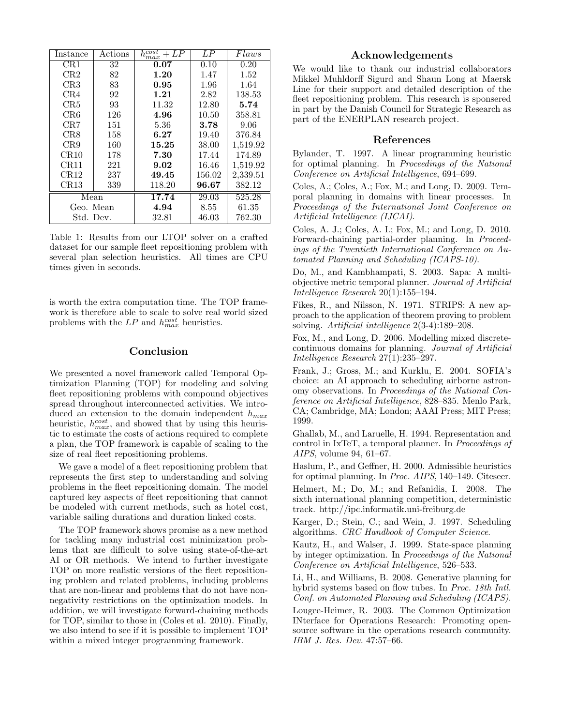| Instance                 | Actions | $h_{max}^{cost}$<br>+ LP | LP     | Flaws    |
|--------------------------|---------|--------------------------|--------|----------|
| CR1                      | 32      | 0.07                     | 0.10   | 0.20     |
| CR2                      | 82      | 1.20                     | 1.47   | 1.52     |
| CR3                      | 83      | 0.95                     | 1.96   | 1.64     |
| CR4                      | 92      | 1.21                     | 2.82   | 138.53   |
| CR5                      | 93      | 11.32                    | 12.80  | 5.74     |
| CR6                      | 126     | 4.96                     | 10.50  | 358.81   |
| CR7                      | 151     | 5.36                     | 3.78   | 9.06     |
| CR <sub>8</sub>          | 158     | 6.27                     | 19.40  | 376.84   |
| CR9                      | 160     | 15.25                    | 38.00  | 1,519.92 |
| CR10                     | 178     | 7.30                     | 17.44  | 174.89   |
| CR11                     | 221     | 9.02                     | 16.46  | 1,519.92 |
| CR12                     | 237     | 49.45                    | 156.02 | 2,339.51 |
| CR13                     | 339     | 118.20                   | 96.67  | 382.12   |
| $\overline{\text{Mean}}$ |         | 17.74                    | 29.03  | 525.28   |
| Geo. Mean                |         | 4.94                     | 8.55   | 61.35    |
| Std. Dev.                |         | 32.81                    | 46.03  | 762.30   |

Table 1: Results from our LTOP solver on a crafted dataset for our sample fleet repositioning problem with several plan selection heuristics. All times are CPU times given in seconds.

is worth the extra computation time. The TOP framework is therefore able to scale to solve real world sized problems with the  $LP$  and  $h_{max}^{cost}$  heuristics.

#### Conclusion

We presented a novel framework called Temporal Optimization Planning (TOP) for modeling and solving fleet repositioning problems with compound objectives spread throughout interconnected activities. We introduced an extension to the domain independent  $h_{max}$ heuristic,  $h_{max}^{cost}$ , and showed that by using this heuristic to estimate the costs of actions required to complete a plan, the TOP framework is capable of scaling to the size of real fleet repositioning problems.

We gave a model of a fleet repositioning problem that represents the first step to understanding and solving problems in the fleet repositioning domain. The model captured key aspects of fleet repositioning that cannot be modeled with current methods, such as hotel cost, variable sailing durations and duration linked costs.

The TOP framework shows promise as a new method for tackling many industrial cost minimization problems that are difficult to solve using state-of-the-art AI or OR methods. We intend to further investigate TOP on more realistic versions of the fleet repositioning problem and related problems, including problems that are non-linear and problems that do not have nonnegativity restrictions on the optimization models. In addition, we will investigate forward-chaining methods for TOP, similar to those in (Coles et al. 2010). Finally, we also intend to see if it is possible to implement TOP within a mixed integer programming framework.

## Acknowledgements

We would like to thank our industrial collaborators Mikkel Muhldorff Sigurd and Shaun Long at Maersk Line for their support and detailed description of the fleet repositioning problem. This research is sponsered in part by the Danish Council for Strategic Research as part of the ENERPLAN research project.

#### References

Bylander, T. 1997. A linear programming heuristic for optimal planning. In Proceedings of the National Conference on Artificial Intelligence, 694–699.

Coles, A.; Coles, A.; Fox, M.; and Long, D. 2009. Temporal planning in domains with linear processes. In Proceedings of the International Joint Conference on Artificial Intelligence (IJCAI).

Coles, A. J.; Coles, A. I.; Fox, M.; and Long, D. 2010. Forward-chaining partial-order planning. In Proceedings of the Twentieth International Conference on Automated Planning and Scheduling (ICAPS-10).

Do, M., and Kambhampati, S. 2003. Sapa: A multiobjective metric temporal planner. Journal of Artificial Intelligence Research 20(1):155–194.

Fikes, R., and Nilsson, N. 1971. STRIPS: A new approach to the application of theorem proving to problem solving. Artificial intelligence 2(3-4):189–208.

Fox, M., and Long, D. 2006. Modelling mixed discretecontinuous domains for planning. Journal of Artificial Intelligence Research 27(1):235–297.

Frank, J.; Gross, M.; and Kurklu, E. 2004. SOFIA's choice: an AI approach to scheduling airborne astronomy observations. In Proceedings of the National Conference on Artificial Intelligence, 828–835. Menlo Park, CA; Cambridge, MA; London; AAAI Press; MIT Press; 1999.

Ghallab, M., and Laruelle, H. 1994. Representation and control in IxTeT, a temporal planner. In Proceedings of AIPS, volume 94, 61–67.

Haslum, P., and Geffner, H. 2000. Admissible heuristics for optimal planning. In *Proc. AIPS*, 140–149. Citeseer.

Helmert, M.; Do, M.; and Refanidis, I. 2008. The sixth international planning competition, deterministic track. http://ipc.informatik.uni-freiburg.de

Karger, D.; Stein, C.; and Wein, J. 1997. Scheduling algorithms. CRC Handbook of Computer Science.

Kautz, H., and Walser, J. 1999. State-space planning by integer optimization. In Proceedings of the National Conference on Artificial Intelligence, 526–533.

Li, H., and Williams, B. 2008. Generative planning for hybrid systems based on flow tubes. In Proc. 18th Intl. Conf. on Automated Planning and Scheduling (ICAPS).

Lougee-Heimer, R. 2003. The Common Optimization INterface for Operations Research: Promoting opensource software in the operations research community. IBM J. Res. Dev. 47:57–66.